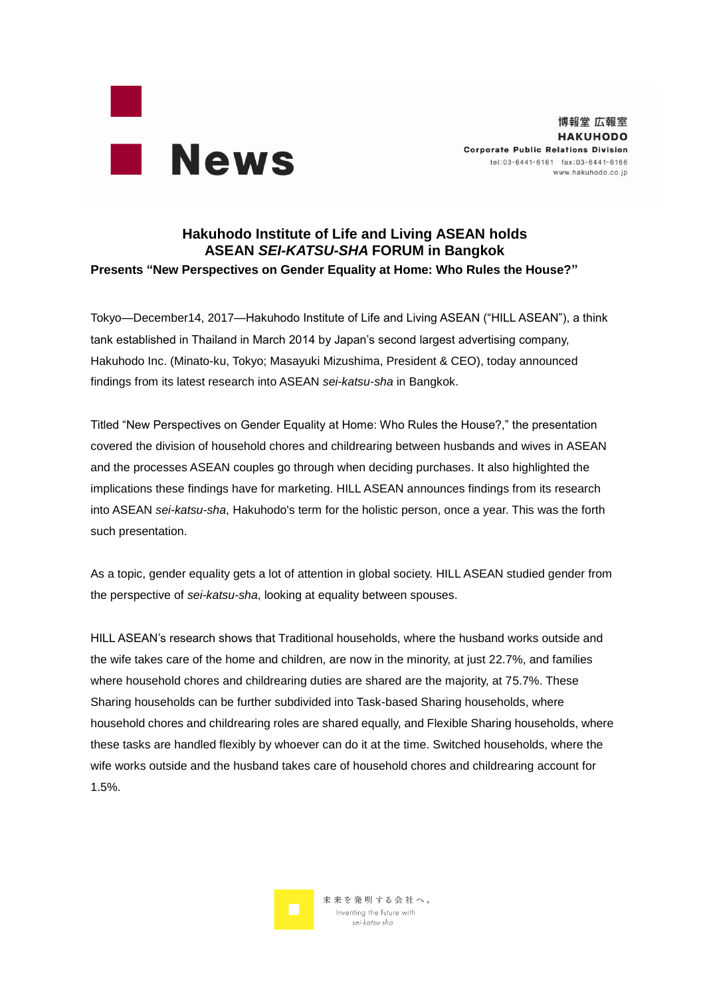

## **Hakuhodo Institute of Life and Living ASEAN holds ASEAN** *SEI-KATSU-SHA* **FORUM in Bangkok Presents "New Perspectives on Gender Equality at Home: Who Rules the House?"**

Tokyo—December14, 2017—Hakuhodo Institute of Life and Living ASEAN ("HILL ASEAN"), a think tank established in Thailand in March 2014 by Japan's second largest advertising company, Hakuhodo Inc. (Minato-ku, Tokyo; Masayuki Mizushima, President & CEO), today announced findings from its latest research into ASEAN *sei-katsu-sha* in Bangkok.

Titled "New Perspectives on Gender Equality at Home: Who Rules the House?," the presentation covered the division of household chores and childrearing between husbands and wives in ASEAN and the processes ASEAN couples go through when deciding purchases. It also highlighted the implications these findings have for marketing. HILL ASEAN announces findings from its research into ASEAN *sei-katsu-sha*, Hakuhodo's term for the holistic person, once a year. This was the forth such presentation.

As a topic, gender equality gets a lot of attention in global society. HILL ASEAN studied gender from the perspective of *sei-katsu-sha*, looking at equality between spouses.

HILL ASEAN's research shows that Traditional households, where the husband works outside and the wife takes care of the home and children, are now in the minority, at just 22.7%, and families where household chores and childrearing duties are shared are the majority, at 75.7%. These Sharing households can be further subdivided into Task-based Sharing households, where household chores and childrearing roles are shared equally, and Flexible Sharing households, where these tasks are handled flexibly by whoever can do it at the time. Switched households, where the wife works outside and the husband takes care of household chores and childrearing account for 1.5%.

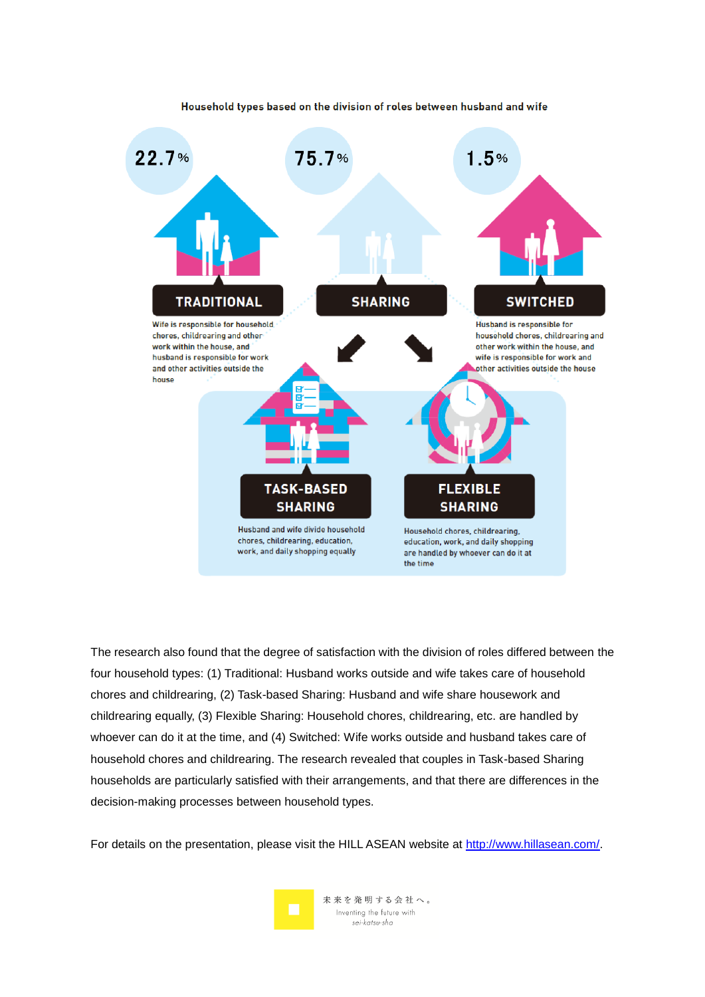

#### Household types based on the division of roles between husband and wife

The research also found that the degree of satisfaction with the division of roles differed between the four household types: (1) Traditional: Husband works outside and wife takes care of household chores and childrearing, (2) Task-based Sharing: Husband and wife share housework and childrearing equally, (3) Flexible Sharing: Household chores, childrearing, etc. are handled by whoever can do it at the time, and (4) Switched: Wife works outside and husband takes care of household chores and childrearing. The research revealed that couples in Task-based Sharing households are particularly satisfied with their arrangements, and that there are differences in the decision-making processes between household types.

For details on the presentation, please visit the HILL ASEAN website at [http://www.hillasean.com/.](http://www.hillasean.com/)

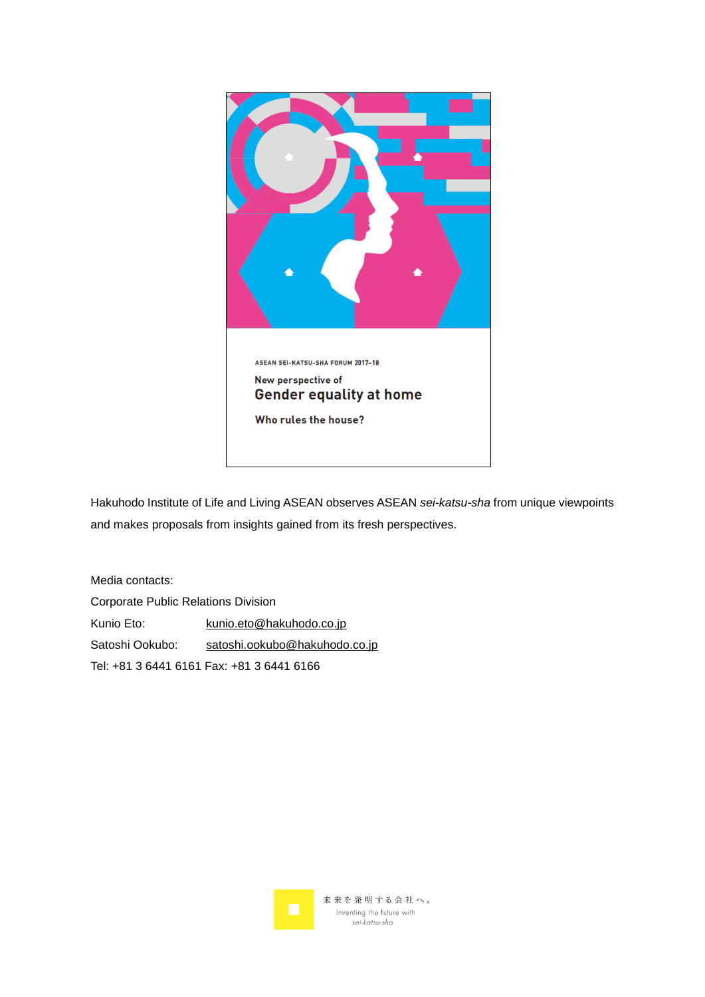

Hakuhodo Institute of Life and Living ASEAN observes ASEAN *sei-katsu-sha* from unique viewpoints and makes proposals from insights gained from its fresh perspectives.

Media contacts: Corporate Public Relations Division Kunio Eto: [kunio.eto@hakuhodo.co.jp](mailto:kunio.eto@hakuhodo.co.jp) Satoshi Ookubo: [satoshi.ookubo@hakuhodo.co.jp](mailto:satoshi.ookubo@hakuhodo.co.jp) Tel: +81 3 6441 6161 Fax: +81 3 6441 6166

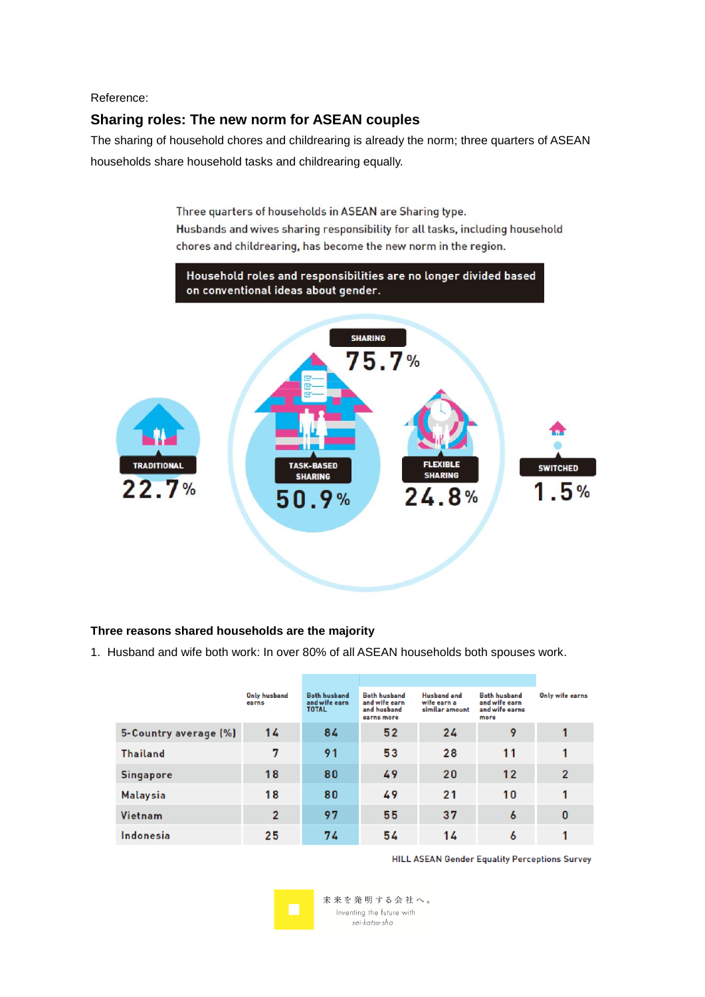### Reference:

# **Sharing roles: The new norm for ASEAN couples**

The sharing of household chores and childrearing is already the norm; three quarters of ASEAN households share household tasks and childrearing equally.

> Three quarters of households in ASEAN are Sharing type. Husbands and wives sharing responsibility for all tasks, including household chores and childrearing, has become the new norm in the region.



### **Three reasons shared households are the majority**

1. Husband and wife both work: In over 80% of all ASEAN households both spouses work.

|                       | Only husband<br>earns | <b>Both husband</b><br>and wife earn<br><b>TOTAL</b> | <b>Both husband</b><br>and wife earn<br>and husband<br>earns more | <b>Husband</b> and<br>wife earn a<br>similar amount | <b>Both husband</b><br>and wife earn<br>and wife earns<br>more | Only wife earns |
|-----------------------|-----------------------|------------------------------------------------------|-------------------------------------------------------------------|-----------------------------------------------------|----------------------------------------------------------------|-----------------|
| 5-Country average (%) | 14                    | 84                                                   | 52                                                                | 24                                                  | 9                                                              |                 |
| <b>Thailand</b>       | 7                     | 91                                                   | 53                                                                | 28                                                  | 11                                                             |                 |
| <b>Singapore</b>      | 18                    | 80                                                   | 49                                                                | 20                                                  | 12                                                             | $\overline{2}$  |
| <b>Malaysia</b>       | 18                    | 80                                                   | 49                                                                | 21                                                  | 10                                                             |                 |
| Vietnam               | $\overline{2}$        | 97                                                   | 55                                                                | 37                                                  | $\boldsymbol{6}$                                               | 0               |
| Indonesia             | 25                    | 74                                                   | 54                                                                | 14                                                  | 6                                                              |                 |

**HILL ASEAN Gender Equality Perceptions Survey**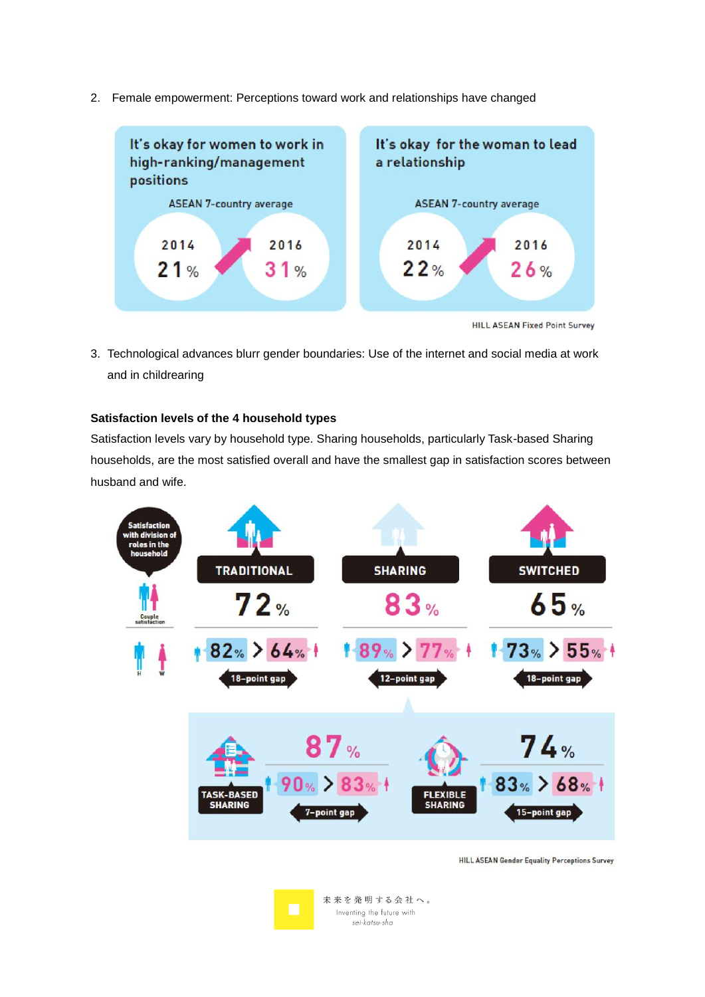

2. Female empowerment: Perceptions toward work and relationships have changed

**HILL ASEAN Fixed Point Survey** 

3. Technological advances blurr gender boundaries: Use of the internet and social media at work and in childrearing

# **Satisfaction levels of the 4 household types**

Satisfaction levels vary by household type. Sharing households, particularly Task-based Sharing households, are the most satisfied overall and have the smallest gap in satisfaction scores between husband and wife.



**HILL ASEAN Gender Equality Perceptions Survey**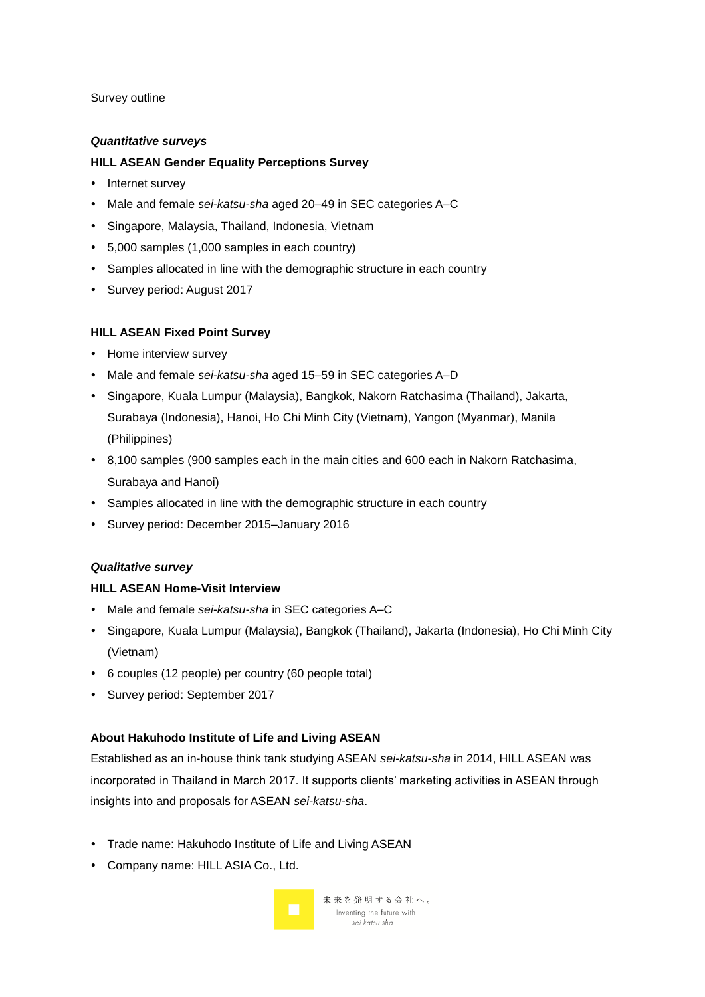#### Survey outline

#### *Quantitative surveys*

### **HILL ASEAN Gender Equality Perceptions Survey**

- Internet survey
- Male and female *sei-katsu-sha* aged 20–49 in SEC categories A–C
- Singapore, Malaysia, Thailand, Indonesia, Vietnam
- 5,000 samples (1,000 samples in each country)
- Samples allocated in line with the demographic structure in each country
- Survey period: August 2017

#### **HILL ASEAN Fixed Point Survey**

- Home interview survey
- Male and female *sei-katsu-sha* aged 15–59 in SEC categories A–D
- Singapore, Kuala Lumpur (Malaysia), Bangkok, Nakorn Ratchasima (Thailand), Jakarta, Surabaya (Indonesia), Hanoi, Ho Chi Minh City (Vietnam), Yangon (Myanmar), Manila (Philippines)
- 8,100 samples (900 samples each in the main cities and 600 each in Nakorn Ratchasima, Surabaya and Hanoi)
- Samples allocated in line with the demographic structure in each country
- Survey period: December 2015–January 2016

#### *Qualitative survey*

#### **HILL ASEAN Home-Visit Interview**

- Male and female *sei-katsu-sha* in SEC categories A–C
- Singapore, Kuala Lumpur (Malaysia), Bangkok (Thailand), Jakarta (Indonesia), Ho Chi Minh City (Vietnam)
- 6 couples (12 people) per country (60 people total)
- Survey period: September 2017

#### **About Hakuhodo Institute of Life and Living ASEAN**

Established as an in-house think tank studying ASEAN *sei-katsu-sha* in 2014, HILL ASEAN was incorporated in Thailand in March 2017. It supports clients' marketing activities in ASEAN through insights into and proposals for ASEAN *sei-katsu-sha*.

- Trade name: Hakuhodo Institute of Life and Living ASEAN
- Company name: HILL ASIA Co., Ltd.